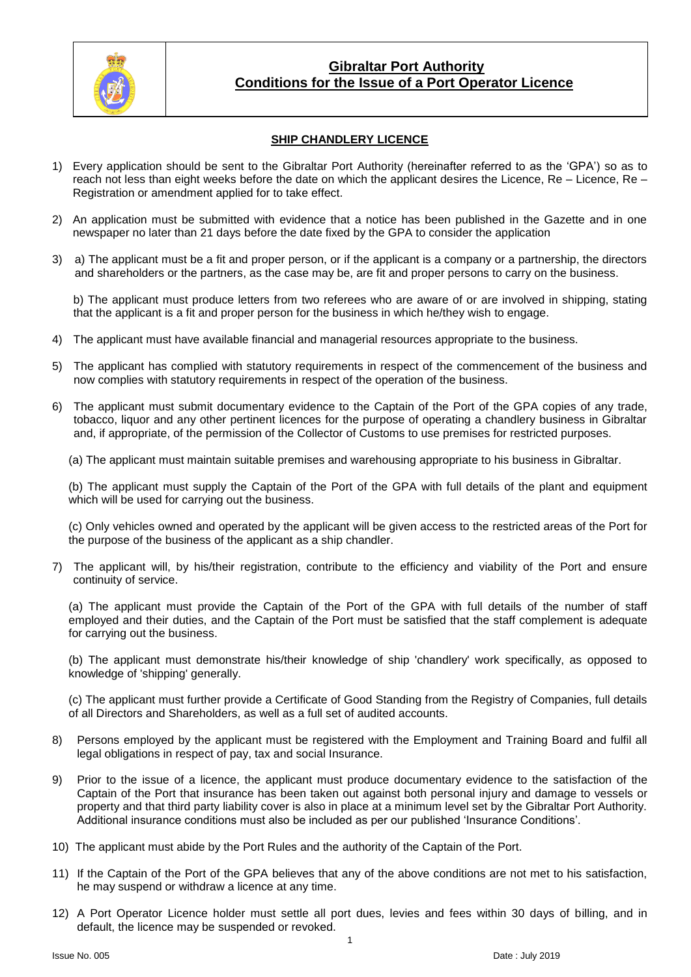

### **Gibraltar Port Authority Conditions for the Issue of a Port Operator Licence**

### **SHIP CHANDLERY LICENCE**

- 1) Every application should be sent to the Gibraltar Port Authority (hereinafter referred to as the 'GPA') so as to reach not less than eight weeks before the date on which the applicant desires the Licence, Re – Licence, Re – Registration or amendment applied for to take effect.
- 2) An application must be submitted with evidence that a notice has been published in the Gazette and in one newspaper no later than 21 days before the date fixed by the GPA to consider the application
- 3) a) The applicant must be a fit and proper person, or if the applicant is a company or a partnership, the directors and shareholders or the partners, as the case may be, are fit and proper persons to carry on the business.

b) The applicant must produce letters from two referees who are aware of or are involved in shipping, stating that the applicant is a fit and proper person for the business in which he/they wish to engage.

- 4) The applicant must have available financial and managerial resources appropriate to the business.
- 5) The applicant has complied with statutory requirements in respect of the commencement of the business and now complies with statutory requirements in respect of the operation of the business.
- 6) The applicant must submit documentary evidence to the Captain of the Port of the GPA copies of any trade, tobacco, liquor and any other pertinent licences for the purpose of operating a chandlery business in Gibraltar and, if appropriate, of the permission of the Collector of Customs to use premises for restricted purposes.
	- (a) The applicant must maintain suitable premises and warehousing appropriate to his business in Gibraltar.

(b) The applicant must supply the Captain of the Port of the GPA with full details of the plant and equipment which will be used for carrying out the business.

(c) Only vehicles owned and operated by the applicant will be given access to the restricted areas of the Port for the purpose of the business of the applicant as a ship chandler.

7) The applicant will, by his/their registration, contribute to the efficiency and viability of the Port and ensure continuity of service.

(a) The applicant must provide the Captain of the Port of the GPA with full details of the number of staff employed and their duties, and the Captain of the Port must be satisfied that the staff complement is adequate for carrying out the business.

(b) The applicant must demonstrate his/their knowledge of ship 'chandlery' work specifically, as opposed to knowledge of 'shipping' generally.

(c) The applicant must further provide a Certificate of Good Standing from the Registry of Companies, full details of all Directors and Shareholders, as well as a full set of audited accounts.

- 8) Persons employed by the applicant must be registered with the Employment and Training Board and fulfil all legal obligations in respect of pay, tax and social Insurance.
- 9) Prior to the issue of a licence, the applicant must produce documentary evidence to the satisfaction of the Captain of the Port that insurance has been taken out against both personal injury and damage to vessels or property and that third party liability cover is also in place at a minimum level set by the Gibraltar Port Authority. Additional insurance conditions must also be included as per our published 'Insurance Conditions'.
- 10) The applicant must abide by the Port Rules and the authority of the Captain of the Port.
- 11) If the Captain of the Port of the GPA believes that any of the above conditions are not met to his satisfaction, he may suspend or withdraw a licence at any time.
- 12) A Port Operator Licence holder must settle all port dues, levies and fees within 30 days of billing, and in default, the licence may be suspended or revoked.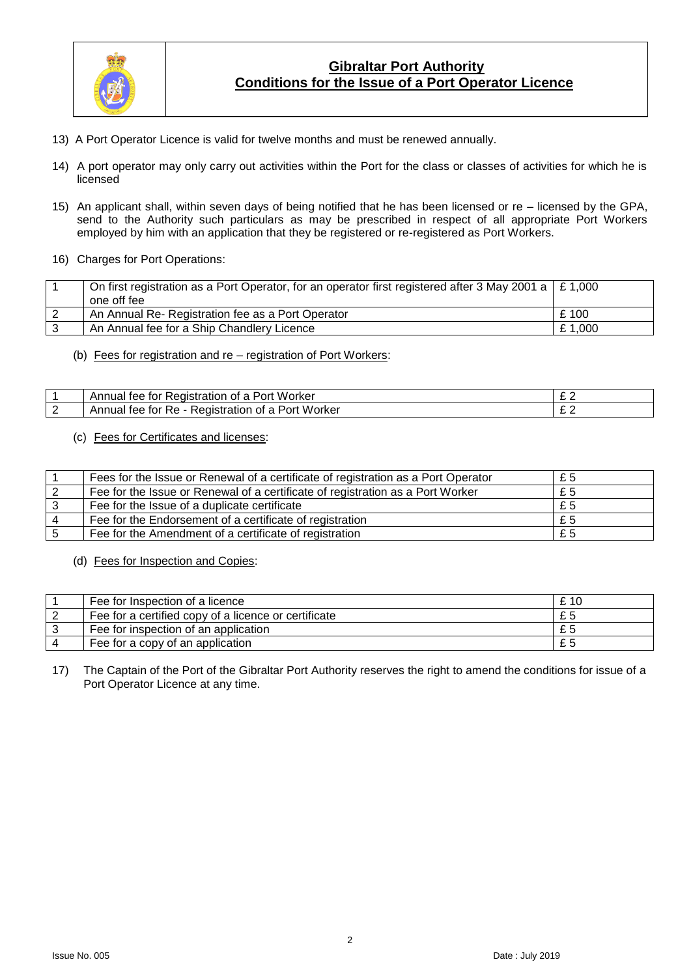

# **Gibraltar Port Authority Conditions for the Issue of a Port Operator Licence**

- 13) A Port Operator Licence is valid for twelve months and must be renewed annually.
- 14) A port operator may only carry out activities within the Port for the class or classes of activities for which he is licensed
- 15) An applicant shall, within seven days of being notified that he has been licensed or re licensed by the GPA, send to the Authority such particulars as may be prescribed in respect of all appropriate Port Workers employed by him with an application that they be registered or re-registered as Port Workers.
- 16) Charges for Port Operations:

| On first registration as a Port Operator, for an operator first registered after 3 May 2001 a $\mid$ £ 1,000 |        |
|--------------------------------------------------------------------------------------------------------------|--------|
| one off fee                                                                                                  |        |
| An Annual Re- Registration fee as a Port Operator                                                            | £100   |
| An Annual fee for a Ship Chandlery Licence                                                                   | £1.000 |

(b) Fees for registration and re – registration of Port Workers:

| . Worker<br>Annual'<br>tee<br>Redistration<br>Port<br>ΩТ<br>ror<br>а          | -   |
|-------------------------------------------------------------------------------|-----|
| Worker<br>tor<br>∴eqistration <<br>tee<br>Port<br>'\nnual<br>- OT<br>◡<br>Re. | ~ ~ |

#### (c) Fees for Certificates and licenses:

| Fees for the Issue or Renewal of a certificate of registration as a Port Operator | £5 |
|-----------------------------------------------------------------------------------|----|
| Fee for the Issue or Renewal of a certificate of registration as a Port Worker    | £5 |
| Fee for the Issue of a duplicate certificate                                      | £5 |
| Fee for the Endorsement of a certificate of registration                          | £5 |
| Fee for the Amendment of a certificate of registration                            | £5 |

(d) Fees for Inspection and Copies:

| Fee for Inspection of a licence                      | £ 10 |
|------------------------------------------------------|------|
| Fee for a certified copy of a licence or certificate | £5   |
| Fee for inspection of an application                 | £5   |
| Fee for a copy of an application                     | £5   |

17) The Captain of the Port of the Gibraltar Port Authority reserves the right to amend the conditions for issue of a Port Operator Licence at any time.